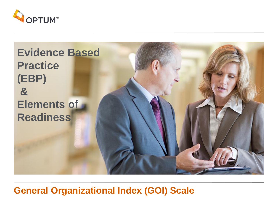



#### **General Organizational Index (GOI) Scale**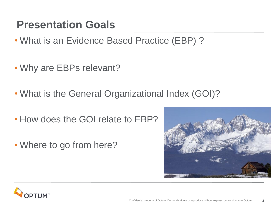# **Presentation Goals**

- What is an Evidence Based Practice (EBP) ?
- Why are EBPs relevant?
- What is the General Organizational Index (GOI)?
- How does the GOI relate to EBP?
- Where to go from here?



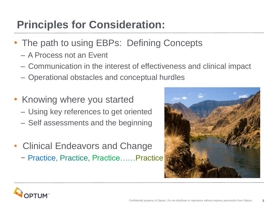# **Principles for Consideration:**

- The path to using EBPs: Defining Concepts
	- A Process not an Event
	- Communication in the interest of effectiveness and clinical impact
	- Operational obstacles and conceptual hurdles
- Knowing where you started
	- Using key references to get oriented
	- Self assessments and the beginning
- Clinical Endeavors and Change
	- − Practice, Practice, Practice……Practice



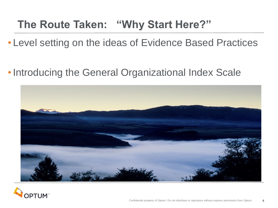# **The Route Taken: "Why Start Here?"**

- Level setting on the ideas of Evidence Based Practices
- •Introducing the General Organizational Index Scale



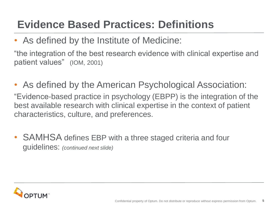# **Evidence Based Practices: Definitions**

As defined by the Institute of Medicine:

"the integration of the best research evidence with clinical expertise and patient values" (IOM, 2001)

• As defined by the American Psychological Association:

"Evidence-based practice in psychology (EBPP) is the integration of the best available research with clinical expertise in the context of patient characteristics, culture, and preferences.

• SAMHSA defines EBP with a three staged criteria and four guidelines: *(continued next slide)*

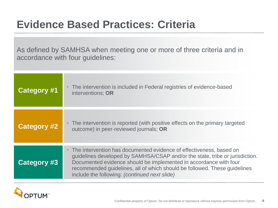#### **Evidence Based Practices: Criteria**

As defined by SAMHSA when meeting one or more of three criteria and in accordance with four guidelines:

| <b>Category #1</b> | The intervention is included in Federal registries of evidence-based<br>interventions; OR                                                                                                                                                                                                                                                                |
|--------------------|----------------------------------------------------------------------------------------------------------------------------------------------------------------------------------------------------------------------------------------------------------------------------------------------------------------------------------------------------------|
| <b>Category #2</b> | The intervention is reported (with positive effects on the primary targeted<br>outcome) in peer-reviewed journals; OR                                                                                                                                                                                                                                    |
| Category #3        | • The intervention has documented evidence of effectiveness, based on<br>guidelines developed by SAMHSA/CSAP and/or the state, tribe or jurisdiction.<br>Documented evidence should be implemented in accordance with four<br>recommended guidelines, all of which should be followed. These guidelines<br>include the following: (continued next slide) |

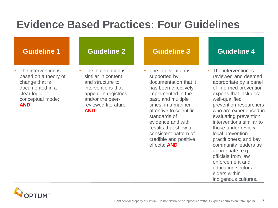#### **Evidence Based Practices: Four Guidelines**





officials from law enforcement and education sectors or

indigenous cultures.

elders within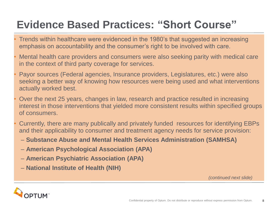# **Evidence Based Practices: "Short Course"**

- Trends within healthcare were evidenced in the 1980's that suggested an increasing emphasis on accountability and the consumer's right to be involved with care.
- Mental health care providers and consumers were also seeking parity with medical care in the context of third party coverage for services.
- Payor sources (Federal agencies, Insurance providers, Legislatures, etc.) were also seeking a better way of knowing how resources were being used and what interventions actually worked best.
- Over the next 25 years, changes in law, research and practice resulted in increasing interest in those interventions that yielded more consistent results within specified groups of consumers.
- Currently, there are many publically and privately funded resources for identifying EBPs and their applicability to consumer and treatment agency needs for service provision:
	- **Substance Abuse and Mental Health Services Administration (SAMHSA)**
	- **American Psychological Association (APA)**
	- **American Psychiatric Association (APA)**
	- **National Institute of Health (NIH)**

*(continued next slide)*

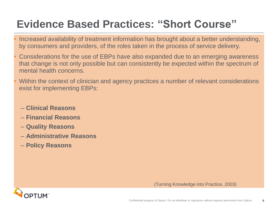# **Evidence Based Practices: "Short Course"**

- Increased availability of treatment information has brought about a better understanding, by consumers and providers, of the roles taken in the process of service delivery.
- Considerations for the use of EBPs have also expanded due to an emerging awareness that change is not only possible but can consistently be expected within the spectrum of mental health concerns.
- Within the context of clinician and agency practices a number of relevant considerations exist for implementing EBPs:
	- **Clinical Reasons**
	- **Financial Reasons**
	- **Quality Reasons**
	- **Administrative Reasons**
	- **Policy Reasons**



(Turning Knowledge into Practice, 2003)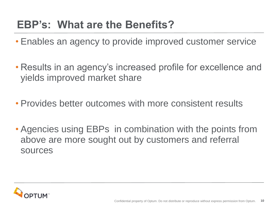#### **EBP's: What are the Benefits?**

- Enables an agency to provide improved customer service
- Results in an agency's increased profile for excellence and yields improved market share
- Provides better outcomes with more consistent results
- Agencies using EBPs in combination with the points from above are more sought out by customers and referral sources

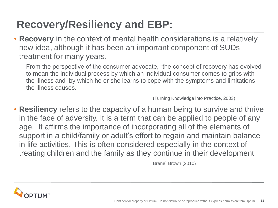# **Recovery/Resiliency and EBP:**

- **Recovery** in the context of mental health considerations is a relatively new idea, although it has been an important component of SUDs treatment for many years.
	- From the perspective of the consumer advocate, "the concept of recovery has evolved to mean the individual process by which an individual consumer comes to grips with the illness and by which he or she learns to cope with the symptoms and limitations the illness causes."

(Turning Knowledge into Practice, 2003)

• **Resiliency** refers to the capacity of a human being to survive and thrive in the face of adversity. It is a term that can be applied to people of any age. It affirms the importance of incorporating all of the elements of support in a child/family or adult's effort to regain and maintain balance in life activities. This is often considered especially in the context of treating children and the family as they continue in their development

Brene` Brown (2010)

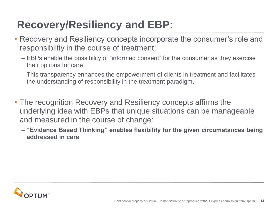# **Recovery/Resiliency and EBP:**

- Recovery and Resiliency concepts incorporate the consumer's role and responsibility in the course of treatment:
	- EBPs enable the possibility of "informed consent" for the consumer as they exercise their options for care
	- This transparency enhances the empowerment of clients in treatment and facilitates the understanding of responsibility in the treatment paradigm.
- The recognition Recovery and Resiliency concepts affirms the underlying idea with EBPs that unique situations can be manageable and measured in the course of change:
	- **"Evidence Based Thinking" enables flexibility for the given circumstances being addressed in care**

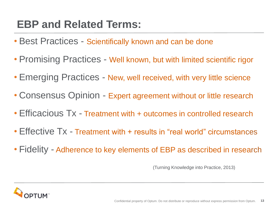### **EBP and Related Terms:**

- Best Practices Scientifically known and can be done
- Promising Practices Well known, but with limited scientific rigor
- Emerging Practices New, well received, with very little science
- Consensus Opinion Expert agreement without or little research
- Efficacious Tx Treatment with + outcomes in controlled research
- Effective Tx Treatment with + results in "real world" circumstances
- Fidelity Adherence to key elements of EBP as described in research

(Turning Knowledge into Practice, 2013)

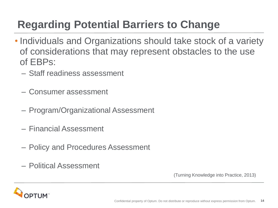# **Regarding Potential Barriers to Change**

- Individuals and Organizations should take stock of a variety of considerations that may represent obstacles to the use of EBPs:
	- Staff readiness assessment
	- Consumer assessment
	- Program/Organizational Assessment
	- Financial Assessment
	- Policy and Procedures Assessment
	- Political Assessment

(Turning Knowledge into Practice, 2013)

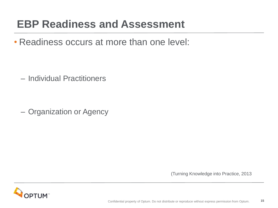## **EBP Readiness and Assessment**

• Readiness occurs at more than one level:

– Individual Practitioners

– Organization or Agency

(Turning Knowledge into Practice, 2013

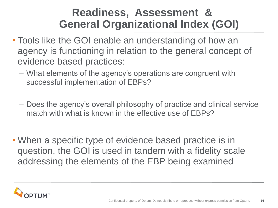#### **Readiness, Assessment & General Organizational Index (GOI)**

- Tools like the GOI enable an understanding of how an agency is functioning in relation to the general concept of evidence based practices:
	- What elements of the agency's operations are congruent with successful implementation of EBPs?
	- Does the agency's overall philosophy of practice and clinical service match with what is known in the effective use of EBPs?
- When a specific type of evidence based practice is in question, the GOI is used in tandem with a fidelity scale addressing the elements of the EBP being examined

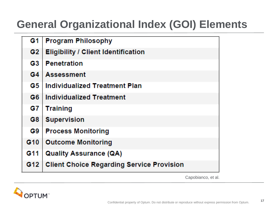#### **General Organizational Index (GOI) Elements**

| G <sub>1</sub> | <b>Program Philosophy</b>                        |
|----------------|--------------------------------------------------|
| G <sub>2</sub> | <b>Eligibility / Client Identification</b>       |
| G3             | <b>Penetration</b>                               |
| G4             | <b>Assessment</b>                                |
| G5             | <b>Individualized Treatment Plan</b>             |
| G6             | <b>Individualized Treatment</b>                  |
| G7             | <b>Training</b>                                  |
| G8             | <b>Supervision</b>                               |
| G9             | <b>Process Monitoring</b>                        |
| G10            | <b>Outcome Monitoring</b>                        |
| G11            | <b>Quality Assurance (QA)</b>                    |
| G12            | <b>Client Choice Regarding Service Provision</b> |

Capobianco, et al.

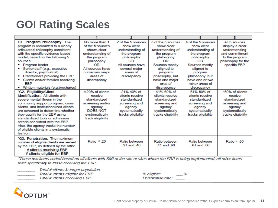#### **GOI Rating Scales**

|                                                                                                                                                                                                                                                                                                                                                                                                                           |                                                                                                                                                                           | 2                                                                                                                                                       | 3                                                                                                                                                                       | Δ                                                                                                                                                                        | 5                                                                                                                           |
|---------------------------------------------------------------------------------------------------------------------------------------------------------------------------------------------------------------------------------------------------------------------------------------------------------------------------------------------------------------------------------------------------------------------------|---------------------------------------------------------------------------------------------------------------------------------------------------------------------------|---------------------------------------------------------------------------------------------------------------------------------------------------------|-------------------------------------------------------------------------------------------------------------------------------------------------------------------------|--------------------------------------------------------------------------------------------------------------------------------------------------------------------------|-----------------------------------------------------------------------------------------------------------------------------|
| G1. Program Philosophy. The<br>program is committed to a clearly<br>articulated philosophy consistent<br>with the specific evidence-based<br>model, based on the following 5<br>sources:<br>• Program leader<br>■ Senior staff (e.g., executive<br>director, psychiatrist)<br>• Practitioners providing the EBP<br>• Clients and/or families receiving                                                                    | No more than 1<br>of the 5 sources<br>shows clear<br>understanding of<br>the program<br>philosophy<br>OR<br>All sources have<br>numerous major<br>areas of<br>discrepancy | 2 of the 5 sources<br>show clear<br>understanding of<br>the program<br>philosophy<br>OR<br>All sources have<br>several major<br>areas of<br>discrepancy | 3 of the 5 sources<br>show clear<br>understanding of<br>the program<br>philosophy<br>OR<br>Sources mostly<br>aligned to<br>program<br>philosophy, but<br>have one major | 4 of the 5 sources<br>show clear<br>understanding of<br>the program<br>philosophy<br>OR<br>Sources mostly<br>aligned to<br>program<br>philosophy, but<br>have one or two | All 5 sources<br>display a clear<br>understanding<br>and commitment<br>to the program<br>philosophy for the<br>specific EBP |
| <b>FBP</b><br>- Written materials (e.g, brochures)                                                                                                                                                                                                                                                                                                                                                                        |                                                                                                                                                                           |                                                                                                                                                         | area of<br>discrepancy                                                                                                                                                  | minor areas of<br>discrepancy                                                                                                                                            |                                                                                                                             |
| *G2. Eligibility/Client<br><b>Identification.</b> All clients with<br>severe mental illness in the<br>community support program, crisis<br>clients, and institutionalized clients<br>are screened to determine whether<br>they qualify for the EBP using<br>standardized tools or admission<br>criteria consistent with the EBP.<br>Also, the agency tracks the number<br>of eligible clients in a systematic<br>fashion. | $\leq$ 20% of clients<br>receive<br>standardized<br>screening and/or<br>agency<br><b>DOES NOT</b><br>systematically<br>track eligibility                                  | 21%-40% of<br>clients receive<br>standardized<br>screening and<br>agency<br>systematically<br>tracks eligibility                                        | 41%-60% of<br>clients receive<br>standardized<br>screening and<br>agency<br>systematically<br>tracks eligibility                                                        | 61%-80% of<br>clients receive<br>standardized<br>screening and<br>agency<br>systematically<br>tracks eligibility                                                         | >80% of clients<br>receive<br>standardized<br>screening and<br>agency<br>systematically<br>tracks eligibility               |
| *G3. Penetration. The maximum<br>number of eligible clients are served<br>by the EBP, as defined by the ratio:<br># clients receiving EBP<br># clients eligible for EBP                                                                                                                                                                                                                                                   | Ratio $\leq 20$                                                                                                                                                           | Ratio between<br>21 and 40                                                                                                                              | Ratio between<br>41 and 60                                                                                                                                              | Ratio between<br>61 and 80                                                                                                                                               | Ratio > 80                                                                                                                  |

\*These two items coded based on all clients with SMI at the site or sites where the EBP is being implemented; all other items refer specifically to those receiving the EBP.

Total # clients in target population

Total # clients eligible for EBP<br>Total # clients eligible for EBP<br>Total # clients receiving EBP

% eligible: \_\_\_\_ % Penetration rate:

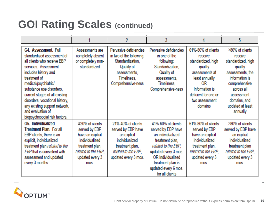|                                                                                                                                                                                                                                                                                                                                                                  |                                                                                                                                                   | 2                                                                                                                                           | 3                                                                                                                                                                                                                    | 4                                                                                                                                                                               | 5                                                                                                                                                                                              |
|------------------------------------------------------------------------------------------------------------------------------------------------------------------------------------------------------------------------------------------------------------------------------------------------------------------------------------------------------------------|---------------------------------------------------------------------------------------------------------------------------------------------------|---------------------------------------------------------------------------------------------------------------------------------------------|----------------------------------------------------------------------------------------------------------------------------------------------------------------------------------------------------------------------|---------------------------------------------------------------------------------------------------------------------------------------------------------------------------------|------------------------------------------------------------------------------------------------------------------------------------------------------------------------------------------------|
| G4. Assessment. Full<br>standardized assessment of<br>all clients who receive EBP<br>services. Assessment<br>includes history and<br>treatment of<br>medical/psychiatric/<br>substance use disorders.<br>current stages of all existing<br>disorders, vocational history,<br>any existing support network,<br>and evaluation of<br>biopsychosocial risk factors. | Assessments are<br>completely absent<br>or completely non-<br>standardized                                                                        | Pervasive deficiencies<br>in two of the following:<br>Standardization,<br>Quality of<br>assessments.<br>Timeliness.<br>Comprehensive-ness   | Pervasive deficiencies<br>in one of the<br>following:<br>Standardization,<br>Quality of<br>assessments,<br>Timeliness.<br>Comprehensive-ness                                                                         | 61%-80% of clients<br>receive<br>standardized, high<br>quality<br>assessments at<br>least annually<br>0R<br>Information is<br>deficient for one or<br>two assessment<br>domains | >80% of clients<br>receive<br>standardized, high<br>quality<br>assessments, the<br>information is<br>comprehensive<br>across all<br>assessment<br>domains, and<br>updated at least<br>annually |
| G5. Individualized<br><b>Treatment Plan.</b> For all<br>EBP dients, there is an<br>explicit, individualized<br>treatment plan related to the<br><b>EBP</b> that is consistent with<br>assessment and updated<br>every 3 months.                                                                                                                                  | $\leq$ 20% of clients<br>served by EBP<br>have an explicit<br>individualized<br>treatment plan,<br>related to the EBP,<br>updated every 3<br>mos. | 21%-40% of clients<br>served by EBP have<br>an explicit<br>individualized<br>treatment plan,<br>related to the EBP.<br>updated every 3 mos. | 41%-60% of clients<br>served by EBP have<br>an individualized<br>treatment plan,<br>related to the EBP,<br>updated every 3 mos.<br>OR Individualized<br>treatment plan is<br>updated every 6 mos.<br>for all clients | 61%-80% of clients<br>served by EBP<br>have an explicit<br>individualized<br>treatment plan,<br>related to the EBP,<br>updated every 3<br>mos.                                  | >80% of clients<br>served by EBP have<br>an explicit<br>individualized<br>treatment plan<br>related to the EBP,<br>updated every 3<br>mos.                                                     |

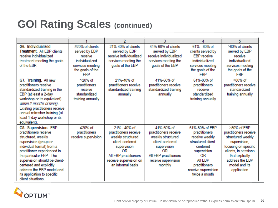|                                                                                                                                                                                                                                                                                                                                  |                                                                                                                           | 2                                                                                                                                                                          | 3                                                                                                                                                           |                                                                                                                                                                              | 5                                                                                                                                                                                               |
|----------------------------------------------------------------------------------------------------------------------------------------------------------------------------------------------------------------------------------------------------------------------------------------------------------------------------------|---------------------------------------------------------------------------------------------------------------------------|----------------------------------------------------------------------------------------------------------------------------------------------------------------------------|-------------------------------------------------------------------------------------------------------------------------------------------------------------|------------------------------------------------------------------------------------------------------------------------------------------------------------------------------|-------------------------------------------------------------------------------------------------------------------------------------------------------------------------------------------------|
| G6. Individualized<br>Treatment. All EBP clients<br>receive individualized<br>treatment meeting the goals<br>of the EBP.                                                                                                                                                                                                         | $\leq$ 20% of clients<br>served by EBP<br>receive<br>individualized<br>services meeting<br>the goals of the<br><b>FBP</b> | 21%-40% of clients<br>served by EBP<br>receive individualized<br>services meeting the<br>goals of the EBP                                                                  | 41%-60% of clients<br>served by EBP<br>receive individualized<br>services meeting the<br>goals of the EBP                                                   | 61% - 80% of<br>clients served by<br><b>EBP</b> receive<br>individualized<br>services meeting<br>the goals of the<br><b>FBP</b>                                              | >80% of clients<br>served by EBP<br>receive<br>individualized<br>services meeting<br>the goals of the<br><b>EBP</b>                                                                             |
| G7. Training. All new<br>practitioners receive<br>standardized training in the<br>EBP (at least a 2-day<br>workshop or its equivalent)<br>within 2 months of hiring.<br>Existing practitioners receive<br>annual refresher training (at<br>least 1-day workshop or its<br>equivalent).                                           | ≤20% of<br>practitioners<br>receive<br>standardized<br>training annually                                                  | 21%-40% of<br>practitioners receive<br>standardized training<br>annually                                                                                                   | 41%-60% of<br>practitioners receive<br>standardized training<br>annually                                                                                    | 61%-80% of<br>practitioners<br>receive<br>standardized<br>training annually                                                                                                  | $>80\%$ of<br>practitioners receive<br>standardized<br>training annually                                                                                                                        |
| G8. Supervision. EBP<br>practitioners receive<br>structured, weekly<br>supervision (group or<br>individual format) from a<br>practitioner experienced in<br>the particular EBP. The<br>supervision should be client-<br>centered and explicitly<br>address the EBP model and<br>its application to specific<br>client situations | ≤20% of<br>practitioners<br>receive supervision                                                                           | 21% - 40% of<br>practitioners receive<br>weekly structured<br>client-centered<br>supervision<br>OR<br>All EBP practitioners<br>receive supervision on<br>an informal basis | 41%-60% of<br>practitioners receive<br>weekly structured<br>client-centered<br>supervision<br>OR<br>All EBP practitioners<br>receive supervision<br>monthly | 61%-80% of EBP<br>practitioners<br>receive weekly<br>structured client-<br>centered<br>supervision<br>OR<br>All FRP<br>practitioners<br>receive supervision<br>twice a month | >80% of EBP<br>practitioners receive<br>structured weekly<br>supervision.<br>focusing on specific<br>clients, in sessions<br>that explicitly<br>address the FBP<br>model and its<br>application |

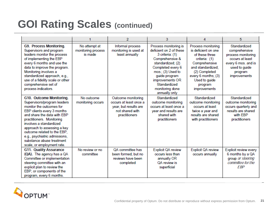|                                                                                                                                                                                                                                                                                                                                                                    |                                                | 2                                                                                                         | 3                                                                                                                                                                                                                                             | Δ                                                                                                                                                                                                             | 5                                                                                                                                         |
|--------------------------------------------------------------------------------------------------------------------------------------------------------------------------------------------------------------------------------------------------------------------------------------------------------------------------------------------------------------------|------------------------------------------------|-----------------------------------------------------------------------------------------------------------|-----------------------------------------------------------------------------------------------------------------------------------------------------------------------------------------------------------------------------------------------|---------------------------------------------------------------------------------------------------------------------------------------------------------------------------------------------------------------|-------------------------------------------------------------------------------------------------------------------------------------------|
| G9. Process Monitoring.<br>Supervisors and program<br>leaders monitor the process<br>of implementing the EBP<br>every 6 months and use the<br>data to improve the program.<br>Monitoring involves a<br>standardized approach, e.g.,<br>use of a fidelity scale or other<br>comprehensive set of<br>process indicators.                                             | No attempt at<br>monitoring process<br>is made | Informal process<br>monitoring is used at<br>least annually                                               | Process monitoring is<br>deficient on 2 of these<br>3 criteria: (1)<br>Comprehensive &<br>standardized; (2)<br>Completed every 6<br>mos.; (3) Used to<br>guide program<br>improvements OR<br>Standardized<br>monitoring done<br>annually only | Process monitoring<br>is deficient on one<br>of these three<br>criteria: (1)<br>Comprehensive<br>and standardized:<br>(2) Completed<br>every 6 months; (3)<br>Used to guide<br>program<br><i>improvements</i> | Standardized<br>comprehensive<br>process monitoring<br>occurs at least<br>every 6 mos. and is<br>used to guide<br>program<br>improvements |
| G10. Outcome Monitoring.<br>Supervisors/program leaders<br>monitor the outcomes for<br>EBP clients every 3 months<br>and share the data with EBP<br>practitioners. Monitoring<br>involves a standardized<br>approach to assessing a key<br>outcome related to the EBP.<br>e.g., psychiatric admissions,<br>substance abuse treatment<br>scale, or employment rate. | No outcome<br>monitoring occurs                | Outcome monitoring<br>occurs at least once a<br>year, but results are<br>not shared with<br>practitioners | Standardized<br>outcome monitoring<br>occurs at least once a<br>year and results are<br>shared with<br>practitioners                                                                                                                          | Standardized<br>outcome monitoring<br>occurs at least<br>twice a year and<br>results are shared<br>with practitioners                                                                                         | Standardized<br>outcome monitoring<br>occurs quarterly and<br>results are shared<br>with EBP<br>practitioners                             |
| <b>G11. Quality Assurance</b><br>(QA). The agency has a QA<br>Committee or implementation<br>steering committee with an<br>explicit plan to review the<br>EBP, or components of the<br>program, every 6 months.                                                                                                                                                    | No review or no<br>committee                   | QA committee has<br>been formed, but no<br>reviews have been<br>completed                                 | Explicit QA review<br>occurs less than<br>annually OR<br>OA review is<br>superficial                                                                                                                                                          | Explicit QA review<br>occurs annually                                                                                                                                                                         | Explicit review every<br>6 months by a QA<br>group or steering<br>committee for the<br><b>FBP</b>                                         |

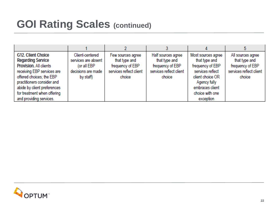| <b>G12. Client Choice</b><br><b>Regarding Service</b>                                                                                                                               | Client-centered<br>services are absent         | Few sources agree<br>that type and                    | Half sources agree<br>that type and                   | Most sources agree<br>that type and                                                                            | All sources agree<br>that type and                    |
|-------------------------------------------------------------------------------------------------------------------------------------------------------------------------------------|------------------------------------------------|-------------------------------------------------------|-------------------------------------------------------|----------------------------------------------------------------------------------------------------------------|-------------------------------------------------------|
| <b>Provision. All clients</b><br>receiving EBP services are<br>offered choices; the EBP<br>practitioners consider and<br>abide by client preferences<br>for treatment when offering | (or all EBP<br>decisions are made<br>by staff) | frequency of EBP<br>services reflect client<br>choice | frequency of EBP<br>services reflect client<br>choice | frequency of EBP<br>services reflect<br>client choice OR<br>Agency fully<br>embraces client<br>choice with one | frequency of EBP<br>services reflect client<br>choice |
| and providing services.                                                                                                                                                             |                                                |                                                       |                                                       | exception                                                                                                      |                                                       |

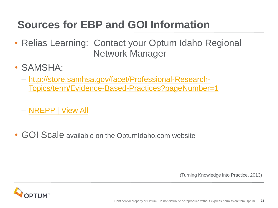# **Sources for EBP and GOI Information**

- Relias Learning: Contact your Optum Idaho Regional Network Manager
- SAMSHA:
	- [http://store.samhsa.gov/facet/Professional-Research-](http://store.samhsa.gov/facet/Professional-Research-Topics/term/Evidence-Based-Practices?pageNumber=1)[Topics/term/Evidence-Based-Practices?pageNumber=1](http://store.samhsa.gov/facet/Professional-Research-Topics/term/Evidence-Based-Practices?pageNumber=1)
	- [NREPP | View All](http://www.nrepp.samhsa.gov/ViewAll.aspx?selChar=F)
- GOI Scale available on the OptumIdaho.com website

(Turning Knowledge into Practice, 2013)

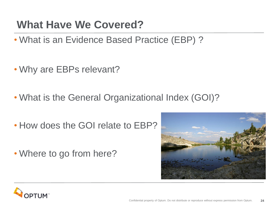# **What Have We Covered?**

- What is an Evidence Based Practice (EBP) ?
- Why are EBPs relevant?
- What is the General Organizational Index (GOI)?
- How does the GOI relate to EBP?
- Where to go from here?